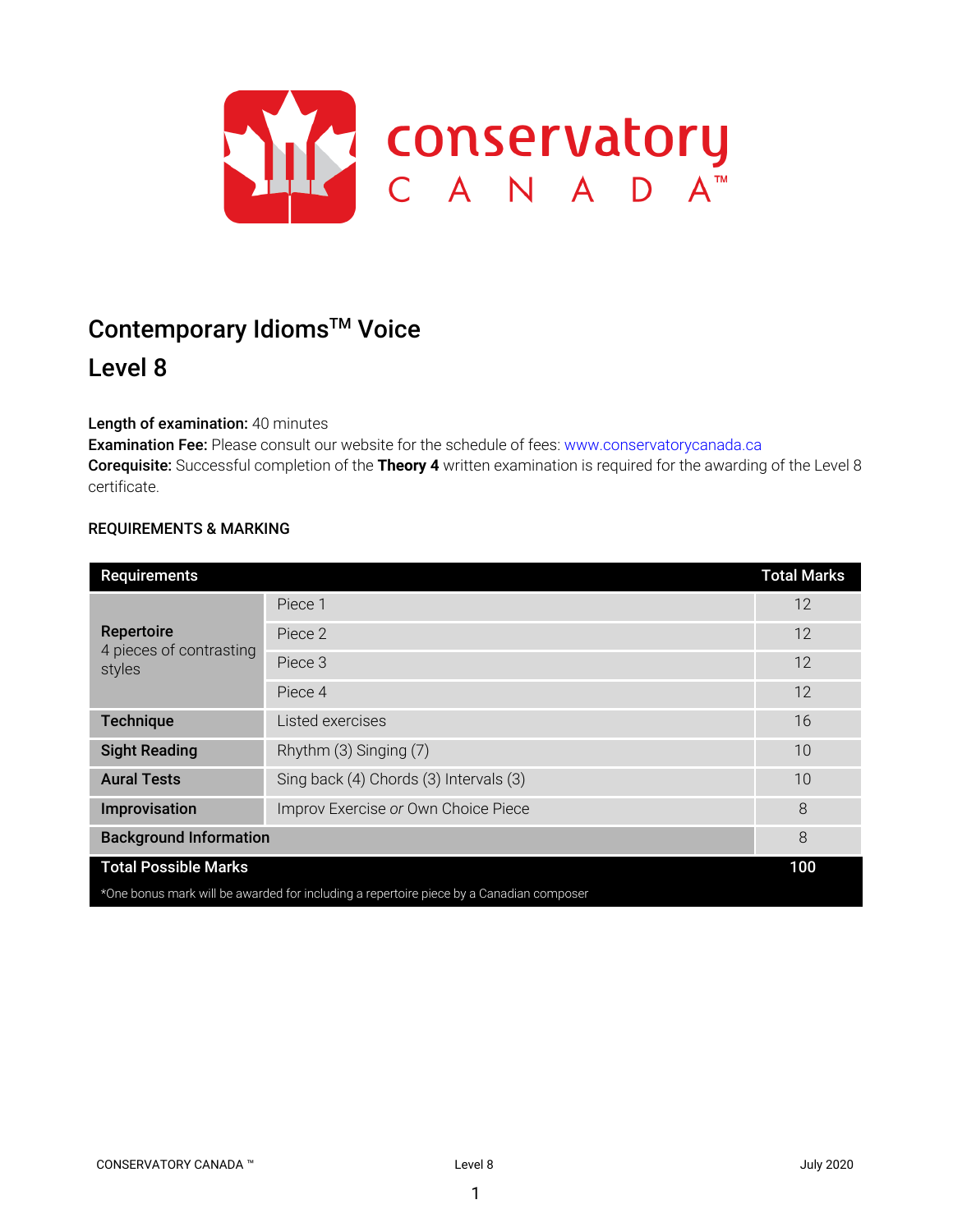

# Contemporary Idioms<sup>™</sup> Voice Level 8

# Length of examination: 40 minutes

Examination Fee: Please consult our website for the schedule of fees: www.conservatorycanada.ca Corequisite: Successful completion of the **Theory 4** written examination is required for the awarding of the Level 8 certificate.

## REQUIREMENTS & MARKING

| Requirements                                                                            |                                        | <b>Total Marks</b> |  |
|-----------------------------------------------------------------------------------------|----------------------------------------|--------------------|--|
| Repertoire<br>4 pieces of contrasting<br>styles                                         | Piece 1                                | 12                 |  |
|                                                                                         | Piece 2                                | 12                 |  |
|                                                                                         | Piece 3                                | 12                 |  |
|                                                                                         | Piece 4                                | 12                 |  |
| <b>Technique</b>                                                                        | Listed exercises                       | 16                 |  |
| <b>Sight Reading</b>                                                                    | Rhythm (3) Singing (7)                 | 10                 |  |
| <b>Aural Tests</b>                                                                      | Sing back (4) Chords (3) Intervals (3) | 10                 |  |
| Improvisation                                                                           | Improv Exercise or Own Choice Piece    | 8                  |  |
| <b>Background Information</b>                                                           |                                        | 8                  |  |
| <b>Total Possible Marks</b>                                                             |                                        | 100                |  |
| *One bonus mark will be awarded for including a repertoire piece by a Canadian composer |                                        |                    |  |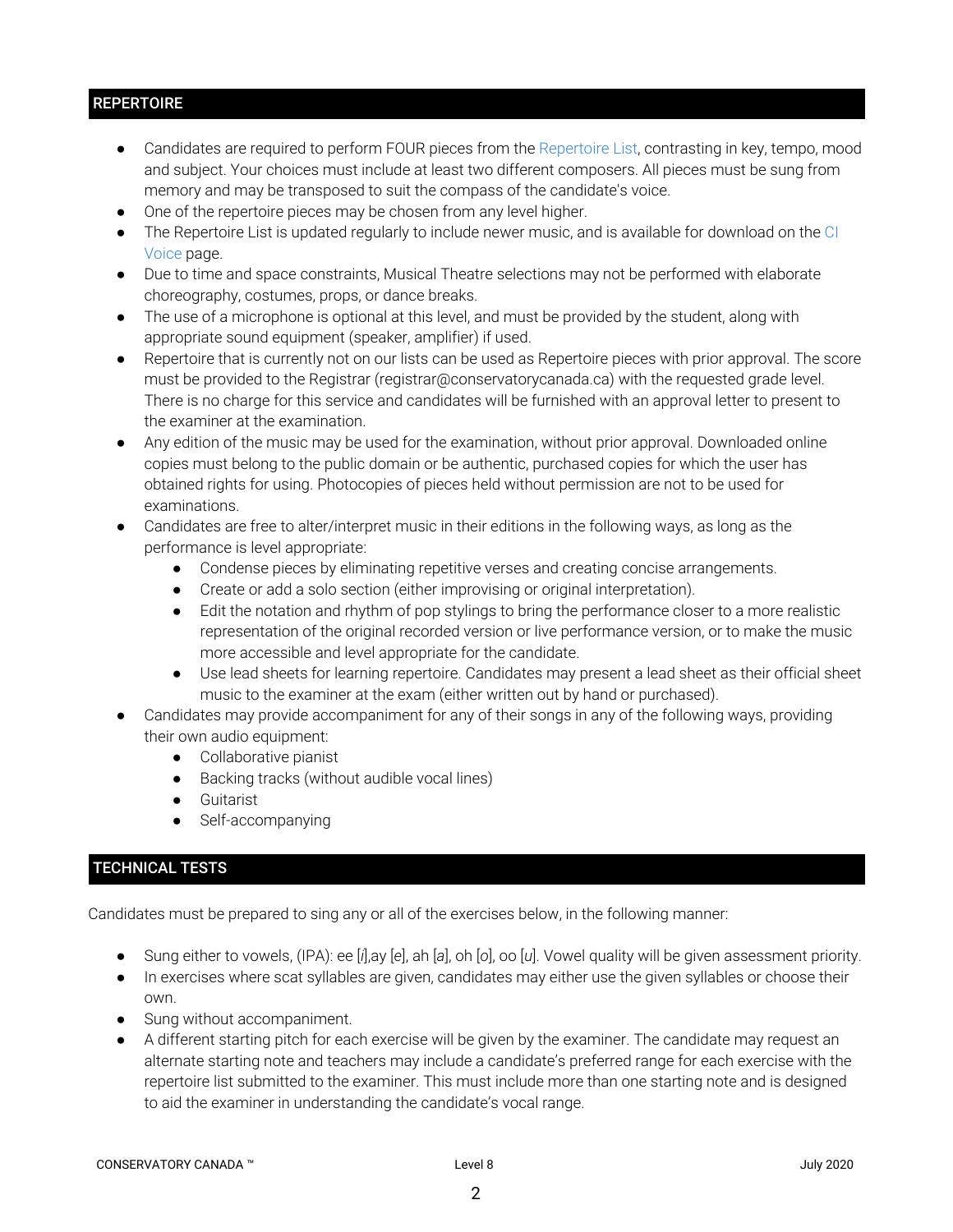# **REPERTOIRE**

- Candidates are required to perform FOUR pieces from the Repertoire List, contrasting in key, tempo, mood and subject. Your choices must include at least two different composers. All pieces must be sung from memory and may be transposed to suit the compass of the candidate's voice.
- One of the repertoire pieces may be chosen from any level higher.
- The Repertoire List is updated regularly to include newer music, and is available for download on the CI Voice page.
- Due to time and space constraints, Musical Theatre selections may not be performed with elaborate choreography, costumes, props, or dance breaks.
- The use of a microphone is optional at this level, and must be provided by the student, along with appropriate sound equipment (speaker, amplifier) if used.
- Repertoire that is currently not on our lists can be used as Repertoire pieces with prior approval. The score must be provided to the Registrar (registrar@conservatorycanada.ca) with the requested grade level. There is no charge for this service and candidates will be furnished with an approval letter to present to the examiner at the examination.
- Any edition of the music may be used for the examination, without prior approval. Downloaded online copies must belong to the public domain or be authentic, purchased copies for which the user has obtained rights for using. Photocopies of pieces held without permission are not to be used for examinations.
- Candidates are free to alter/interpret music in their editions in the following ways, as long as the performance is level appropriate:
	- Condense pieces by eliminating repetitive verses and creating concise arrangements.
	- Create or add a solo section (either improvising or original interpretation).
	- Edit the notation and rhythm of pop stylings to bring the performance closer to a more realistic representation of the original recorded version or live performance version, or to make the music more accessible and level appropriate for the candidate.
	- Use lead sheets for learning repertoire. Candidates may present a lead sheet as their official sheet music to the examiner at the exam (either written out by hand or purchased).
- Candidates may provide accompaniment for any of their songs in any of the following ways, providing their own audio equipment:
	- Collaborative pianist
	- Backing tracks (without audible vocal lines)
	- Guitarist
	- Self-accompanying

# TECHNICAL TESTS

Candidates must be prepared to sing any or all of the exercises below, in the following manner:

- Sung either to vowels, (IPA): ee [*i*],ay [*e*], ah [*a*], oh [*o*], oo [*u*]. Vowel quality will be given assessment priority.
- In exercises where scat syllables are given, candidates may either use the given syllables or choose their own.
- Sung without accompaniment.
- A different starting pitch for each exercise will be given by the examiner. The candidate may request an alternate starting note and teachers may include a candidate's preferred range for each exercise with the repertoire list submitted to the examiner. This must include more than one starting note and is designed to aid the examiner in understanding the candidate's vocal range.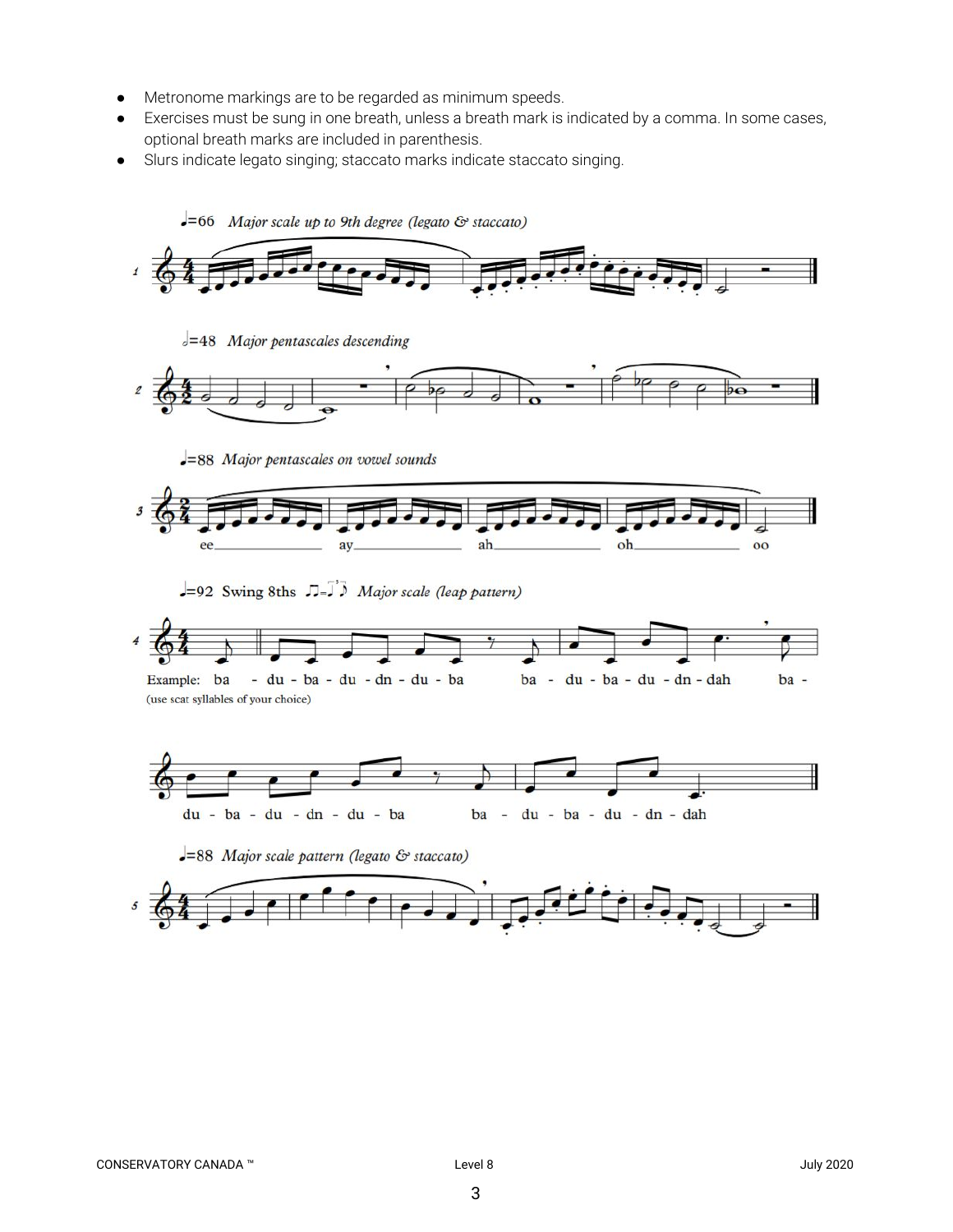- Metronome markings are to be regarded as minimum speeds.
- Exercises must be sung in one breath, unless a breath mark is indicated by a comma. In some cases, optional breath marks are included in parenthesis.
- Slurs indicate legato singing; staccato marks indicate staccato singing.

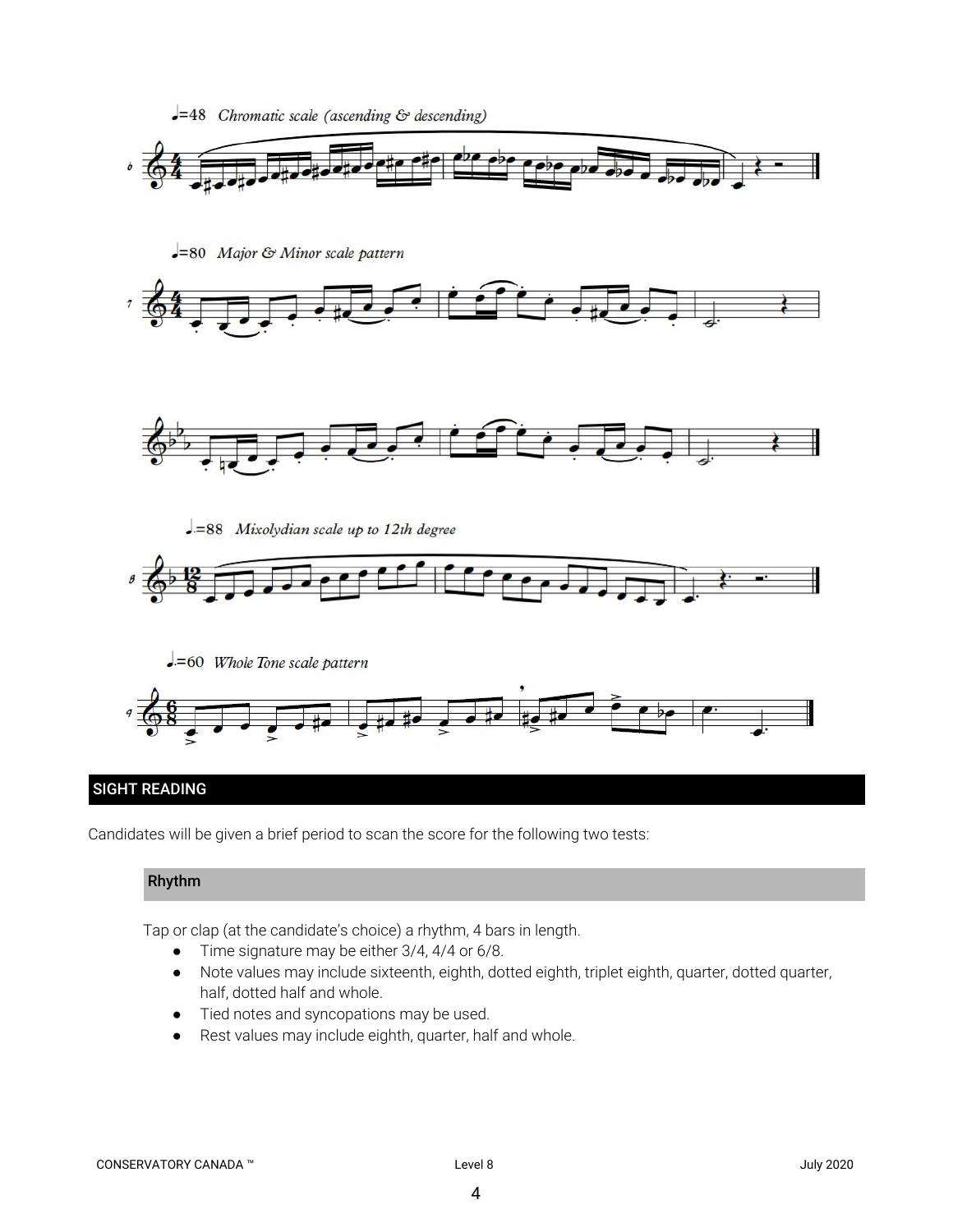

# SIGHT READING

Candidates will be given a brief period to scan the score for the following two tests:

# Rhythm

Tap or clap (at the candidate's choice) a rhythm, 4 bars in length.

- Time signature may be either 3/4, 4/4 or 6/8.
- Note values may include sixteenth, eighth, dotted eighth, triplet eighth, quarter, dotted quarter, half, dotted half and whole.
- Tied notes and syncopations may be used.
- Rest values may include eighth, quarter, half and whole.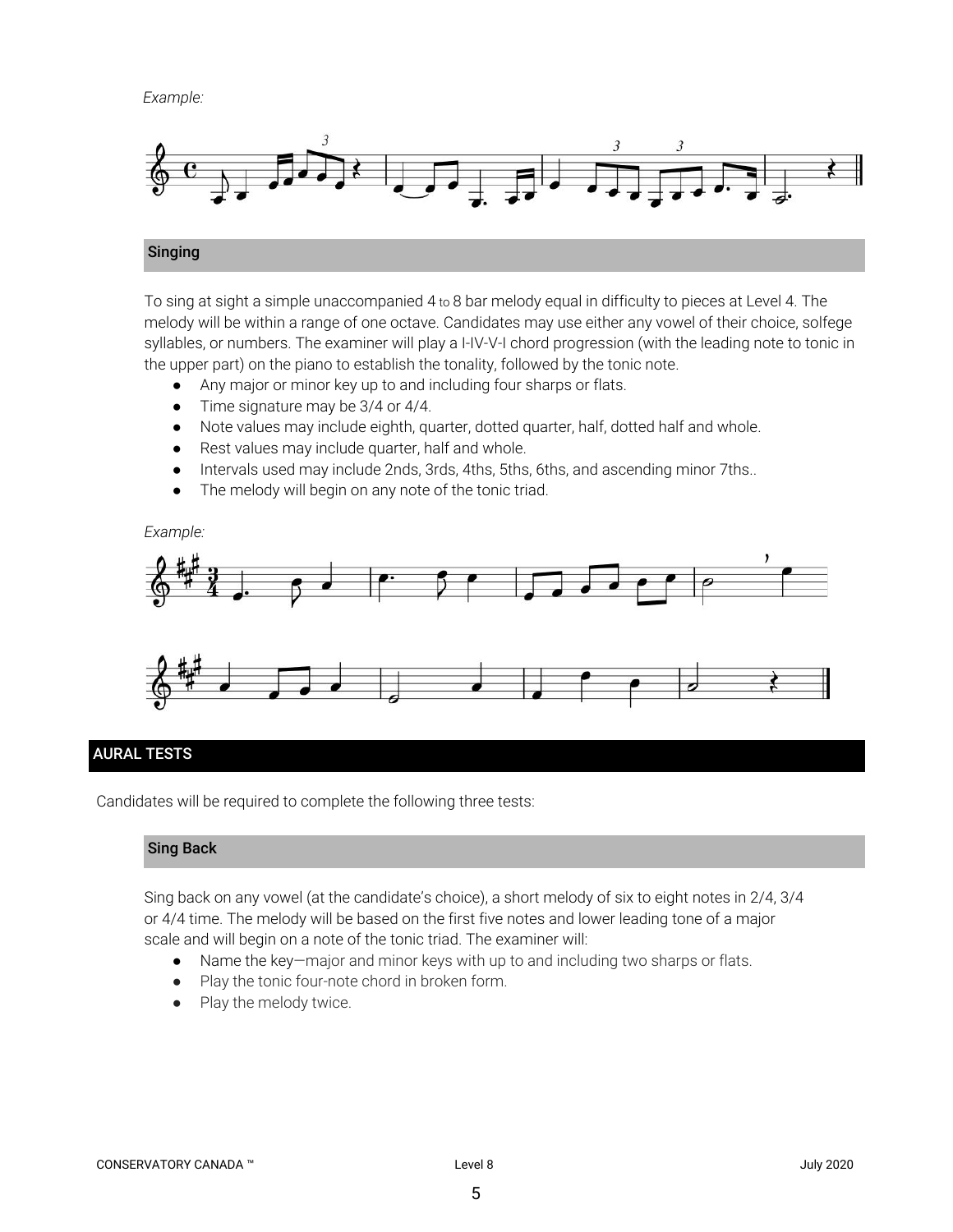*Example:*



#### Singing

To sing at sight a simple unaccompanied 4 to 8 bar melody equal in difficulty to pieces at Level 4. The melody will be within a range of one octave. Candidates may use either any vowel of their choice, solfege syllables, or numbers. The examiner will play a I-IV-V-I chord progression (with the leading note to tonic in the upper part) on the piano to establish the tonality, followed by the tonic note.

- *●* Any major or minor key up to and including four sharps or flats.
- Time signature may be 3/4 or 4/4.
- Note values may include eighth, quarter, dotted quarter, half, dotted half and whole.
- Rest values may include quarter, half and whole.
- Intervals used may include 2nds, 3rds, 4ths, 5ths, 6ths, and ascending minor 7ths..
- The melody will begin on any note of the tonic triad.

#### *Example:*



## AURAL TESTS

Candidates will be required to complete the following three tests:

## Sing Back

Sing back on any vowel (at the candidate's choice), a short melody of six to eight notes in 2/4, 3/4 or 4/4 time. The melody will be based on the first five notes and lower leading tone of a major scale and will begin on a note of the tonic triad. The examiner will:

- Name the key—major and minor keys with up to and including two sharps or flats.
- Play the tonic four-note chord in broken form.
- Play the melody twice.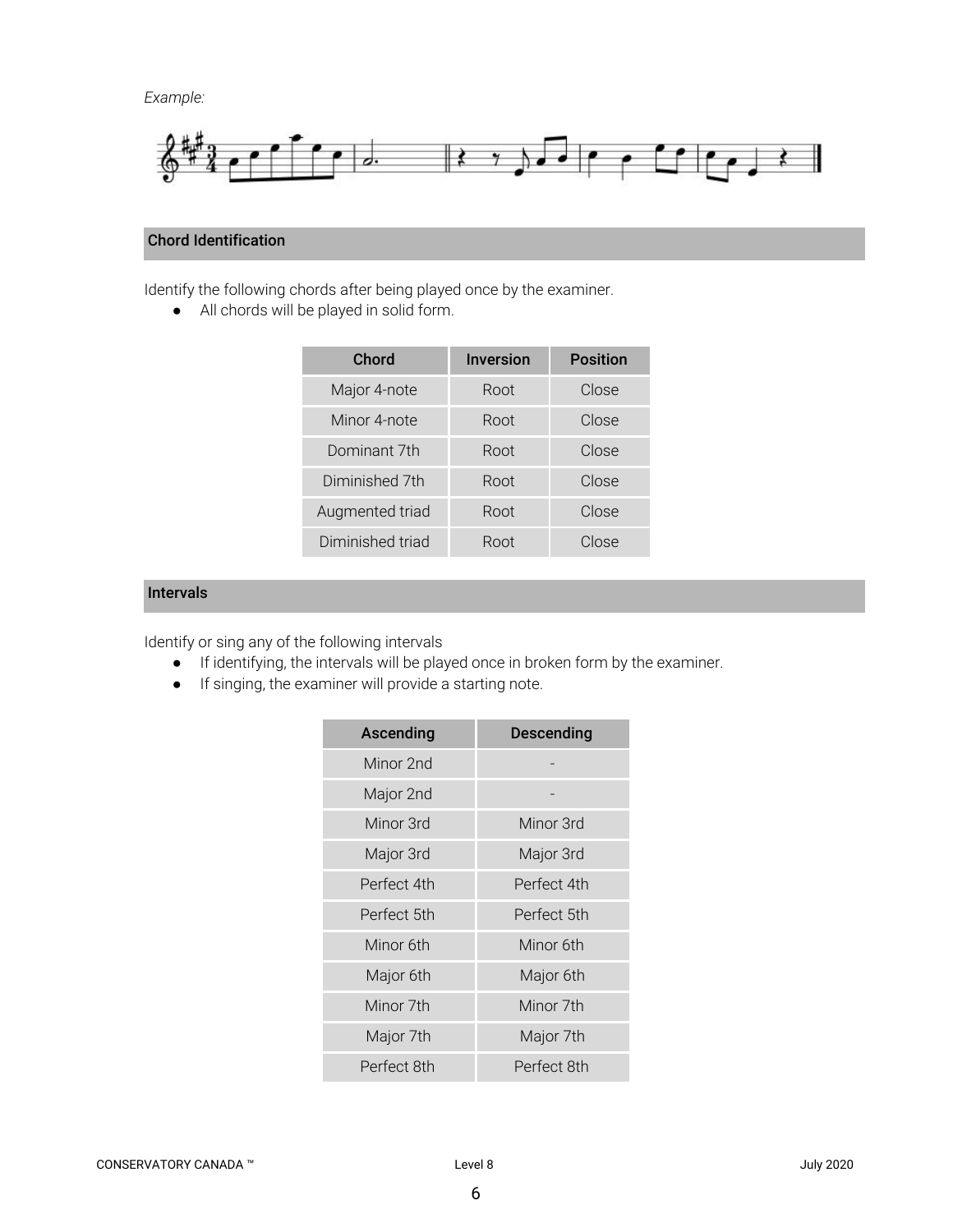*Example:*



# Chord Identification

Identify the following chords after being played once by the examiner.

● All chords will be played in solid form.

| Chord            | <b>Inversion</b> | <b>Position</b> |
|------------------|------------------|-----------------|
| Major 4-note     | Root             | Close           |
| Minor 4-note     | Root             | Close           |
| Dominant 7th     | Root             | Close           |
| Diminished 7th   | Root             | Close           |
| Augmented triad  | Root             | Close           |
| Diminished triad | Root             | Close           |

# Intervals

Identify or sing any of the following intervals

- If identifying, the intervals will be played once in broken form by the examiner.
- If singing, the examiner will provide a starting note.

| Ascending   | <b>Descending</b> |  |
|-------------|-------------------|--|
| Minor 2nd   |                   |  |
| Major 2nd   |                   |  |
| Minor 3rd   | Minor 3rd         |  |
| Major 3rd   | Major 3rd         |  |
| Perfect 4th | Perfect 4th       |  |
| Perfect 5th | Perfect 5th       |  |
| Minor 6th   | Minor 6th         |  |
| Major 6th   | Major 6th         |  |
| Minor 7th   | Minor 7th         |  |
| Major 7th   | Major 7th         |  |
| Perfect 8th | Perfect 8th       |  |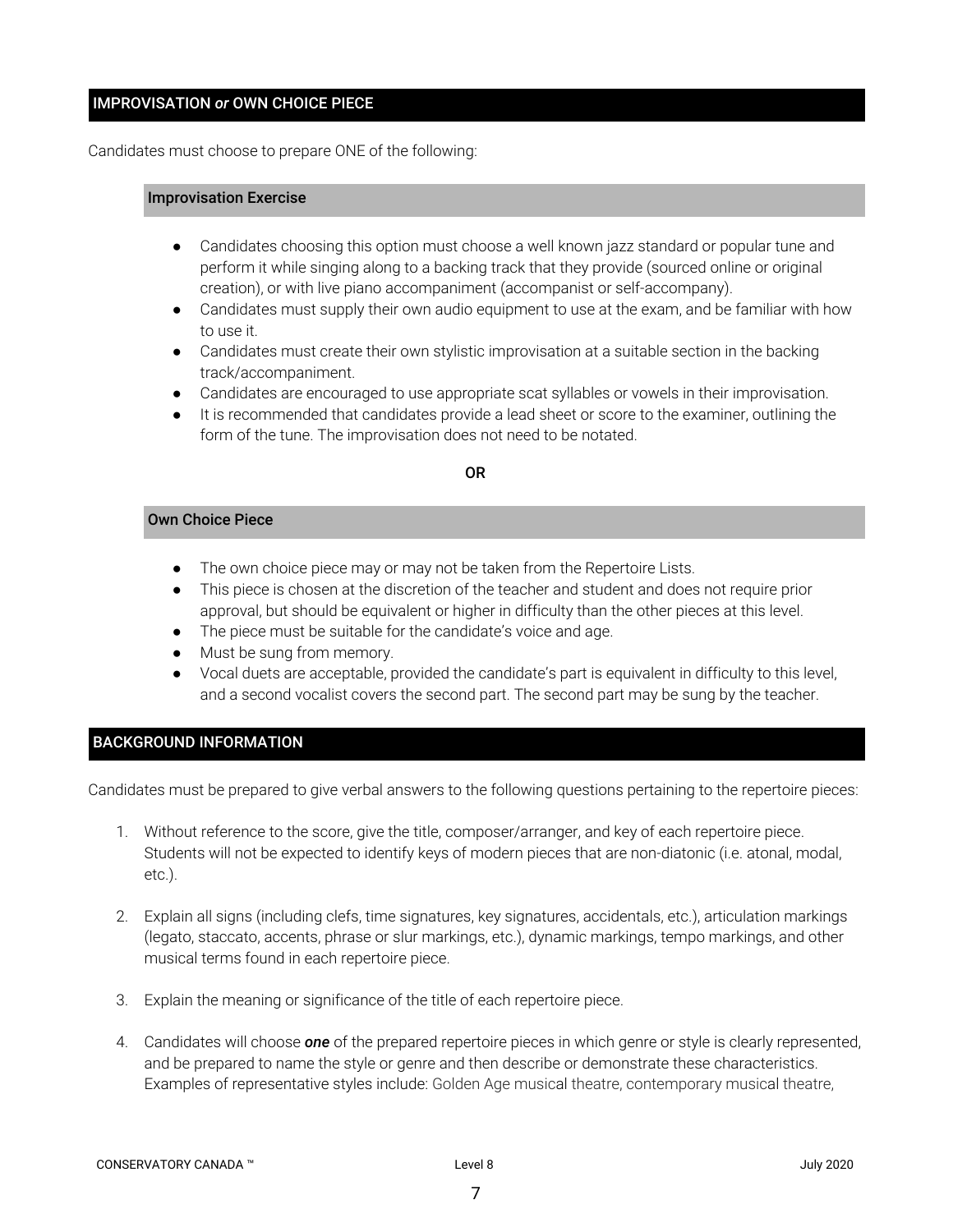# IMPROVISATION *or* OWN CHOICE PIECE

Candidates must choose to prepare ONE of the following:

#### Improvisation Exercise

- Candidates choosing this option must choose a well known jazz standard or popular tune and perform it while singing along to a backing track that they provide (sourced online or original creation), or with live piano accompaniment (accompanist or self-accompany).
- Candidates must supply their own audio equipment to use at the exam, and be familiar with how to use it.
- Candidates must create their own stylistic improvisation at a suitable section in the backing track/accompaniment.
- Candidates are encouraged to use appropriate scat syllables or vowels in their improvisation.
- It is recommended that candidates provide a lead sheet or score to the examiner, outlining the form of the tune. The improvisation does not need to be notated.

#### OR

#### Own Choice Piece

- The own choice piece may or may not be taken from the Repertoire Lists.
- This piece is chosen at the discretion of the teacher and student and does not require prior approval, but should be equivalent or higher in difficulty than the other pieces at this level.
- The piece must be suitable for the candidate's voice and age.
- Must be sung from memory.
- Vocal duets are acceptable, provided the candidate's part is equivalent in difficulty to this level, and a second vocalist covers the second part. The second part may be sung by the teacher.

## BACKGROUND INFORMATION

Candidates must be prepared to give verbal answers to the following questions pertaining to the repertoire pieces:

- 1. Without reference to the score, give the title, composer/arranger, and key of each repertoire piece. Students will not be expected to identify keys of modern pieces that are non-diatonic (i.e. atonal, modal, etc.).
- 2. Explain all signs (including clefs, time signatures, key signatures, accidentals, etc.), articulation markings (legato, staccato, accents, phrase or slur markings, etc.), dynamic markings, tempo markings, and other musical terms found in each repertoire piece.
- 3. Explain the meaning or significance of the title of each repertoire piece.
- 4. Candidates will choose *one* of the prepared repertoire pieces in which genre or style is clearly represented, and be prepared to name the style or genre and then describe or demonstrate these characteristics. Examples of representative styles include: Golden Age musical theatre, contemporary musical theatre,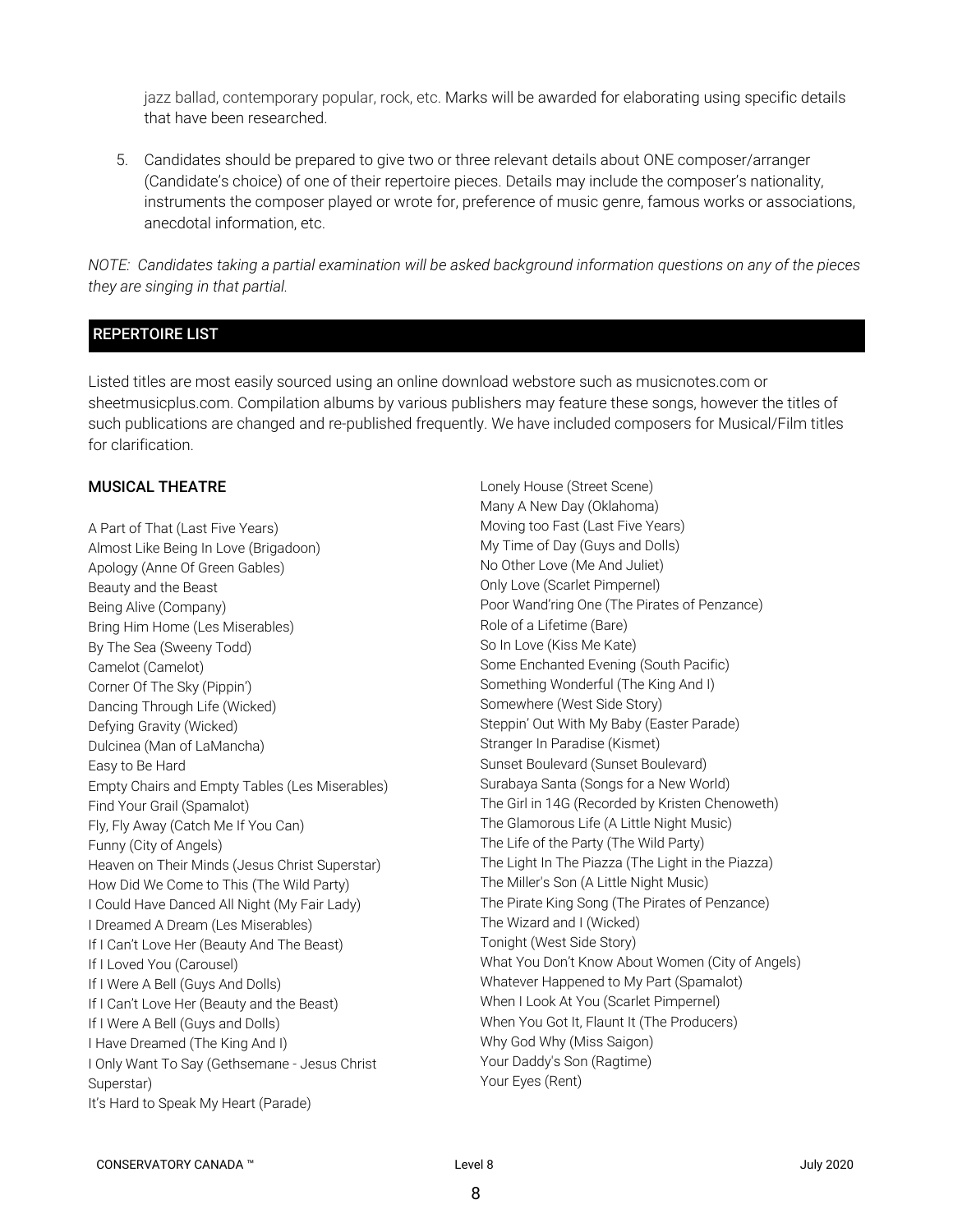jazz ballad, contemporary popular, rock, etc. Marks will be awarded for elaborating using specific details that have been researched.

5. Candidates should be prepared to give two or three relevant details about ONE composer/arranger (Candidate's choice) of one of their repertoire pieces. Details may include the composer's nationality, instruments the composer played or wrote for, preference of music genre, famous works or associations, anecdotal information, etc.

NOTE: Candidates taking a partial examination will be asked background information questions on any of the pieces *they are singing in that partial.*

# REPERTOIRE LIST

Listed titles are most easily sourced using an online download webstore such as musicnotes.com or sheetmusicplus.com. Compilation albums by various publishers may feature these songs, however the titles of such publications are changed and re-published frequently. We have included composers for Musical/Film titles for clarification.

## MUSICAL THEATRE

A Part of That (Last Five Years) Almost Like Being In Love (Brigadoon) Apology (Anne Of Green Gables) Beauty and the Beast Being Alive (Company) Bring Him Home (Les Miserables) By The Sea (Sweeny Todd) Camelot (Camelot) Corner Of The Sky (Pippin') Dancing Through Life (Wicked) Defying Gravity (Wicked) Dulcinea (Man of LaMancha) Easy to Be Hard Empty Chairs and Empty Tables (Les Miserables) Find Your Grail (Spamalot) Fly, Fly Away (Catch Me If You Can) Funny (City of Angels) Heaven on Their Minds (Jesus Christ Superstar) How Did We Come to This (The Wild Party) I Could Have Danced All Night (My Fair Lady) I Dreamed A Dream (Les Miserables) If I Can't Love Her (Beauty And The Beast) If I Loved You (Carousel) If I Were A Bell (Guys And Dolls) If I Can't Love Her (Beauty and the Beast) If I Were A Bell (Guys and Dolls) I Have Dreamed (The King And I) I Only Want To Say (Gethsemane - Jesus Christ Superstar) It's Hard to Speak My Heart (Parade)

Lonely House (Street Scene) Many A New Day (Oklahoma) Moving too Fast (Last Five Years) My Time of Day (Guys and Dolls) No Other Love (Me And Juliet) Only Love (Scarlet Pimpernel) Poor Wand'ring One (The Pirates of Penzance) Role of a Lifetime (Bare) So In Love (Kiss Me Kate) Some Enchanted Evening (South Pacific) Something Wonderful (The King And I) Somewhere (West Side Story) Steppin' Out With My Baby (Easter Parade) Stranger In Paradise (Kismet) Sunset Boulevard (Sunset Boulevard) Surabaya Santa (Songs for a New World) The Girl in 14G (Recorded by Kristen Chenoweth) The Glamorous Life (A Little Night Music) The Life of the Party (The Wild Party) The Light In The Piazza (The Light in the Piazza) The Miller's Son (A Little Night Music) The Pirate King Song (The Pirates of Penzance) The Wizard and I (Wicked) Tonight (West Side Story) What You Don't Know About Women (City of Angels) Whatever Happened to My Part (Spamalot) When I Look At You (Scarlet Pimpernel) When You Got It, Flaunt It (The Producers) Why God Why (Miss Saigon) Your Daddy's Son (Ragtime) Your Eyes (Rent)